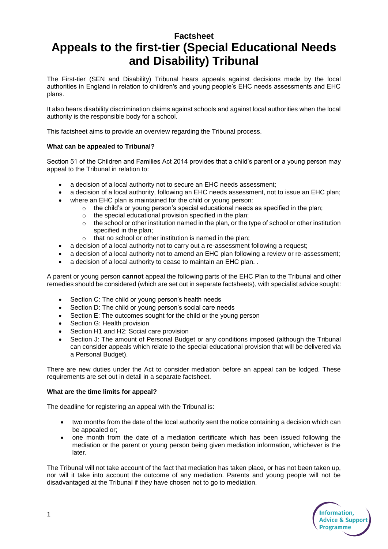# **Factsheet Appeals to the first-tier (Special Educational Needs and Disability) Tribunal**

The First-tier (SEN and Disability) Tribunal hears appeals against decisions made by the local authorities in England in relation to children's and young people's EHC needs assessments and EHC plans.

It also hears disability discrimination claims against schools and against local authorities when the local authority is the responsible body for a school.

This factsheet aims to provide an overview regarding the Tribunal process.

# **What can be appealed to Tribunal?**

Section 51 of the Children and Families Act 2014 provides that a child's parent or a young person may appeal to the Tribunal in relation to:

- a decision of a local authority not to secure an EHC needs assessment;
- a decision of a local authority, following an EHC needs assessment, not to issue an EHC plan;
- where an EHC plan is maintained for the child or young person:
	- $\circ$  the child's or young person's special educational needs as specified in the plan;
	- o the special educational provision specified in the plan;
	- $\circ$  the school or other institution named in the plan, or the type of school or other institution specified in the plan;
	- $\circ$  that no school or other institution is named in the plan;
- a decision of a local authority not to carry out a re-assessment following a request;
- a decision of a local authority not to amend an EHC plan following a review or re-assessment;
- a decision of a local authority to cease to maintain an EHC plan. .

A parent or young person **cannot** appeal the following parts of the EHC Plan to the Tribunal and other remedies should be considered (which are set out in separate factsheets), with specialist advice sought:

- Section C: The child or young person's health needs
- Section D: The child or young person's social care needs
- Section E: The outcomes sought for the child or the young person
- Section G: Health provision
- Section H1 and H2: Social care provision
- Section J: The amount of Personal Budget or any conditions imposed (although the Tribunal can consider appeals which relate to the special educational provision that will be delivered via a Personal Budget).

There are new duties under the Act to consider mediation before an appeal can be lodged. These requirements are set out in detail in a separate factsheet.

#### **What are the time limits for appeal?**

The deadline for registering an appeal with the Tribunal is:

- two months from the date of the local authority sent the notice containing a decision which can be appealed or;
- one month from the date of a mediation certificate which has been issued following the mediation or the parent or young person being given mediation information, whichever is the later.

The Tribunal will not take account of the fact that mediation has taken place, or has not been taken up, nor will it take into account the outcome of any mediation. Parents and young people will not be disadvantaged at the Tribunal if they have chosen not to go to mediation.